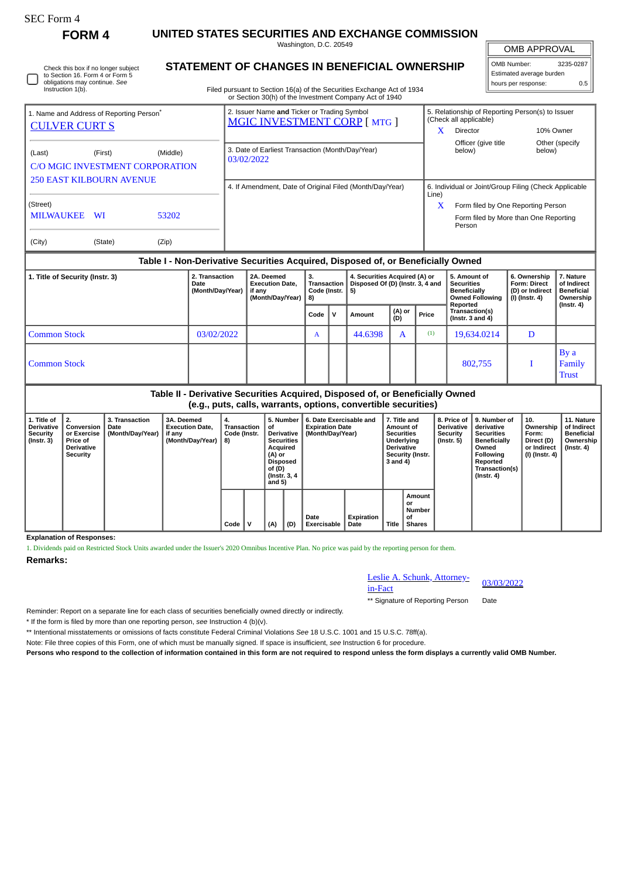**FORM 4 UNITED STATES SECURITIES AND EXCHANGE COMMISSION** Washington, D.C. 20549

**STATEMENT OF CHANGES IN BENEFICIAL OWNERSHIP**

OMB APPROVAL

| OMB Number:              | 3235-0287 |
|--------------------------|-----------|
| Estimated average burden |           |
| hours per response:      | 0.5       |

| Instruction 1(b).                                                         | to Section 16. Form 4 or Form 5<br>obligations may continue. See |          | Filed pursuant to Section 16(a) of the Securities Exchange Act of 1934<br>or Section 30(h) of the Investment Company Act of 1940 |            |                                    | Estimated average burden<br>hours per response: |                                                               | 0.5 |
|---------------------------------------------------------------------------|------------------------------------------------------------------|----------|----------------------------------------------------------------------------------------------------------------------------------|------------|------------------------------------|-------------------------------------------------|---------------------------------------------------------------|-----|
| 1. Name and Address of Reporting Person $\degree$<br><b>CULVER CURT S</b> |                                                                  |          | 2. Issuer Name and Ticker or Trading Symbol<br>MGIC INVESTMENT CORP [MTG ]                                                       |            | (Check all applicable)<br>Director |                                                 | 5. Relationship of Reporting Person(s) to Issuer<br>10% Owner |     |
| (Last)                                                                    | (First)<br><b>C/O MGIC INVESTMENT CORPORATION</b>                | (Middle) | 3. Date of Earliest Transaction (Month/Day/Year)<br>03/02/2022                                                                   |            | Officer (give title<br>below)      |                                                 | Other (specify<br>below)                                      |     |
| (Street)                                                                  | <b>250 EAST KILBOURN AVENUE</b>                                  |          | 4. If Amendment, Date of Original Filed (Month/Day/Year)                                                                         | Line)<br>x |                                    | Form filed by One Reporting Person              | 6. Individual or Joint/Group Filing (Check Applicable         |     |
| <b>MILWAUKEE</b>                                                          | WI                                                               | 53202    |                                                                                                                                  |            | Person                             |                                                 | Form filed by More than One Reporting                         |     |

| (City) | (State) | (Zip) |
|--------|---------|-------|

## **Table I - Non-Derivative Securities Acquired, Disposed of, or Beneficially Owned**

| 1. Title of Security (Instr. 3) | 2. Transaction<br>Date<br>(Month/Day/Year) | 2A. Deemed<br><b>Execution Date.</b><br>if anv<br>(Month/Day/Year) | З.<br><b>Transaction</b><br>Code (Instr. $ 5$ )<br>8) | 4. Securities Acquired (A) or<br>Disposed Of (D) (Instr. 3, 4 and |               |       | 5. Amount of<br><b>Securities</b><br><b>Beneficially</b><br><b>Owned Following</b><br>Reported | 6. Ownership<br><b>Form: Direct</b><br>(D) or Indirect<br>(I) (Instr. 4) | 7. Nature<br>of Indirect<br><b>Beneficial</b><br>Ownership<br>$($ lnstr. 4 $)$ |
|---------------------------------|--------------------------------------------|--------------------------------------------------------------------|-------------------------------------------------------|-------------------------------------------------------------------|---------------|-------|------------------------------------------------------------------------------------------------|--------------------------------------------------------------------------|--------------------------------------------------------------------------------|
|                                 |                                            |                                                                    | Code   V                                              | Amount                                                            | (A) or<br>(D) | Price | Transaction(s)<br>$($ lnstr. 3 and 4 $)$                                                       |                                                                          |                                                                                |
| <b>Common Stock</b>             | 03/02/2022                                 |                                                                    | A                                                     | 44.6398                                                           | A             | (1)   | 19,634.0214                                                                                    | D                                                                        |                                                                                |
| <b>Common Stock</b>             |                                            |                                                                    |                                                       |                                                                   |               |       | 802,755                                                                                        |                                                                          | By a<br>Family<br><b>Trust</b>                                                 |

## **Table II - Derivative Securities Acquired, Disposed of, or Beneficially Owned (e.g., puts, calls, warrants, options, convertible securities)**

| 1. Title of<br>Derivative<br>Security<br>$($ Instr. 3 $)$ | l 2.<br>Conversion<br>or Exercise<br>Price of<br><b>Derivative</b><br>Security | 3. Transaction<br>Date<br>(Month/Day/Year) | 3A. Deemed<br><b>Execution Date.</b><br>if any<br>(Month/Day/Year) | 4.<br>Transaction<br>Code (Instr.<br>8) |   | 5. Number<br>οf<br>Derivative<br><b>Securities</b><br>Acquired<br>(A) or<br><b>Disposed</b><br>of (D)<br>(Instr. 3, 4)<br>and $5)$<br>(A)<br>(D) |  | 6. Date Exercisable and<br><b>Expiration Date</b><br>(Month/Day/Year) | 7. Title and<br>Amount of<br><b>Securities</b><br>Underlying<br><b>Derivative</b><br>Security (Instr.<br>3 and 4) |       | 8. Price of<br><b>Derivative</b><br>Security<br>$($ Instr. 5 $)$ | 9. Number of<br>derivative<br><b>Securities</b><br><b>Beneficially</b><br>Owned<br>Following<br>Reported<br>Transaction(s)<br>$($ Instr. 4 $)$ | 10.<br>Ownership<br>Form:<br>Direct (D)<br>or Indirect<br>  (I) (Instr. 4) | 11. Nature<br>of Indirect<br>Beneficial<br>Ownership<br>(Instr. 4) |
|-----------------------------------------------------------|--------------------------------------------------------------------------------|--------------------------------------------|--------------------------------------------------------------------|-----------------------------------------|---|--------------------------------------------------------------------------------------------------------------------------------------------------|--|-----------------------------------------------------------------------|-------------------------------------------------------------------------------------------------------------------|-------|------------------------------------------------------------------|------------------------------------------------------------------------------------------------------------------------------------------------|----------------------------------------------------------------------------|--------------------------------------------------------------------|
|                                                           |                                                                                |                                            |                                                                    | Code                                    | v |                                                                                                                                                  |  | Date<br><b>Exercisable</b>                                            | Expiration<br>Date                                                                                                | Title | Amount<br>or<br><b>Number</b><br>οf<br><b>Shares</b>             |                                                                                                                                                |                                                                            |                                                                    |

**Explanation of Responses:**

1. Dividends paid on Restricted Stock Units awarded under the Issuer's 2020 Omnibus Incentive Plan. No price was paid by the reporting person for them.

**Remarks:**

## Leslie A. Schunk, Attorney-<br>in-Fact

\*\* Signature of Reporting Person Date

Reminder: Report on a separate line for each class of securities beneficially owned directly or indirectly.

\* If the form is filed by more than one reporting person, *see* Instruction 4 (b)(v).

\*\* Intentional misstatements or omissions of facts constitute Federal Criminal Violations *See* 18 U.S.C. 1001 and 15 U.S.C. 78ff(a).

Note: File three copies of this Form, one of which must be manually signed. If space is insufficient, *see* Instruction 6 for procedure.

**Persons who respond to the collection of information contained in this form are not required to respond unless the form displays a currently valid OMB Number.**

Check this box if no longer subject

Í